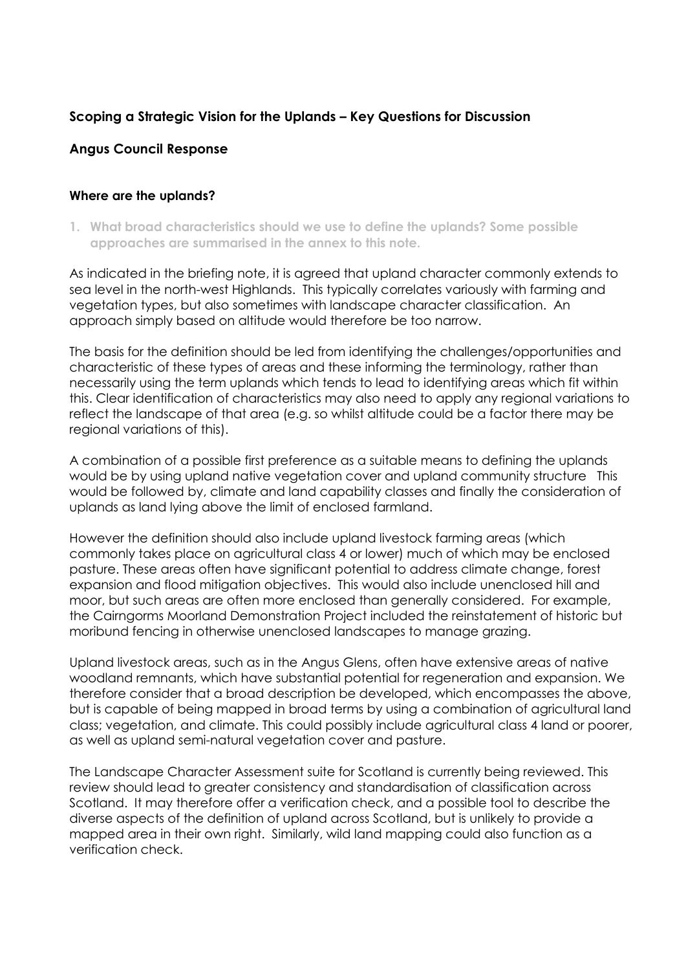# **Scoping a Strategic Vision for the Uplands – Key Questions for Discussion**

## **Angus Council Response**

## **Where are the uplands?**

**1. What broad characteristics should we use to define the uplands? Some possible approaches are summarised in the annex to this note.** 

As indicated in the briefing note, it is agreed that upland character commonly extends to sea level in the north-west Highlands. This typically correlates variously with farming and vegetation types, but also sometimes with landscape character classification. An approach simply based on altitude would therefore be too narrow.

The basis for the definition should be led from identifying the challenges/opportunities and characteristic of these types of areas and these informing the terminology, rather than necessarily using the term uplands which tends to lead to identifying areas which fit within this. Clear identification of characteristics may also need to apply any regional variations to reflect the landscape of that area (e.g. so whilst altitude could be a factor there may be regional variations of this).

A combination of a possible first preference as a suitable means to defining the uplands would be by using upland native vegetation cover and upland community structure This would be followed by, climate and land capability classes and finally the consideration of uplands as land lying above the limit of enclosed farmland.

However the definition should also include upland livestock farming areas (which commonly takes place on agricultural class 4 or lower) much of which may be enclosed pasture. These areas often have significant potential to address climate change, forest expansion and flood mitigation objectives. This would also include unenclosed hill and moor, but such areas are often more enclosed than generally considered. For example, the Cairngorms Moorland Demonstration Project included the reinstatement of historic but moribund fencing in otherwise unenclosed landscapes to manage grazing.

Upland livestock areas, such as in the Angus Glens, often have extensive areas of native woodland remnants, which have substantial potential for regeneration and expansion. We therefore consider that a broad description be developed, which encompasses the above, but is capable of being mapped in broad terms by using a combination of agricultural land class; vegetation, and climate. This could possibly include agricultural class 4 land or poorer, as well as upland semi-natural vegetation cover and pasture.

The Landscape Character Assessment suite for Scotland is currently being reviewed. This review should lead to greater consistency and standardisation of classification across Scotland. It may therefore offer a verification check, and a possible tool to describe the diverse aspects of the definition of upland across Scotland, but is unlikely to provide a mapped area in their own right. Similarly, wild land mapping could also function as a verification check.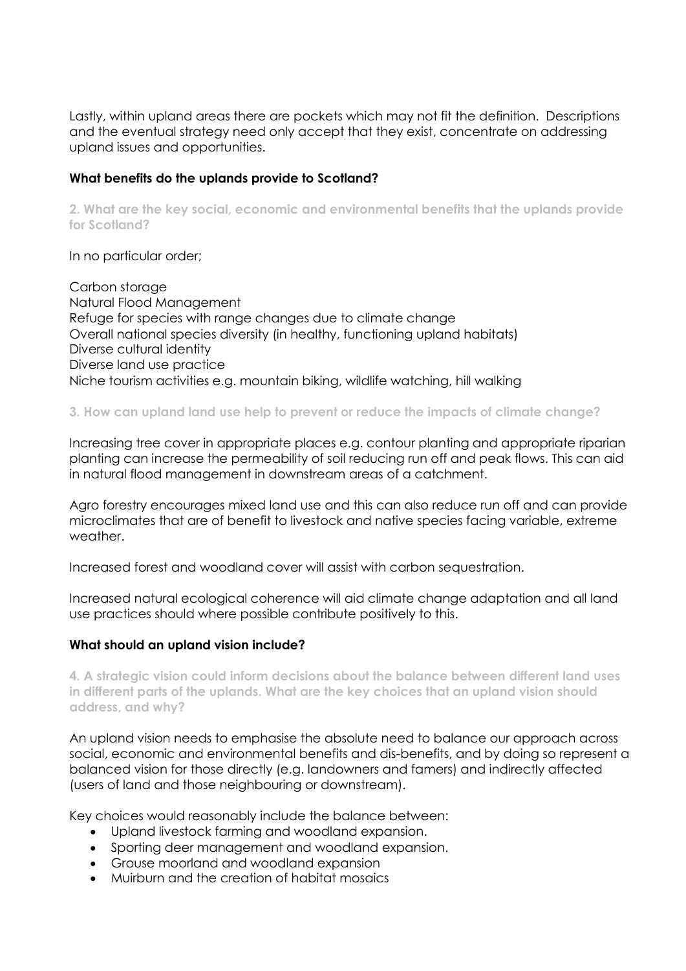Lastly, within upland areas there are pockets which may not fit the definition. Descriptions and the eventual strategy need only accept that they exist, concentrate on addressing upland issues and opportunities.

### **What benefits do the uplands provide to Scotland?**

**2. What are the key social, economic and environmental benefits that the uplands provide for Scotland?** 

In no particular order;

Carbon storage Natural Flood Management Refuge for species with range changes due to climate change Overall national species diversity (in healthy, functioning upland habitats) Diverse cultural identity Diverse land use practice Niche tourism activities e.g. mountain biking, wildlife watching, hill walking

**3. How can upland land use help to prevent or reduce the impacts of climate change?** 

Increasing tree cover in appropriate places e.g. contour planting and appropriate riparian planting can increase the permeability of soil reducing run off and peak flows. This can aid in natural flood management in downstream areas of a catchment.

Agro forestry encourages mixed land use and this can also reduce run off and can provide microclimates that are of benefit to livestock and native species facing variable, extreme weather.

Increased forest and woodland cover will assist with carbon sequestration.

Increased natural ecological coherence will aid climate change adaptation and all land use practices should where possible contribute positively to this.

### **What should an upland vision include?**

**4. A strategic vision could inform decisions about the balance between different land uses in different parts of the uplands. What are the key choices that an upland vision should address, and why?** 

An upland vision needs to emphasise the absolute need to balance our approach across social, economic and environmental benefits and dis-benefits, and by doing so represent a balanced vision for those directly (e.g. landowners and famers) and indirectly affected (users of land and those neighbouring or downstream).

Key choices would reasonably include the balance between:

- Upland livestock farming and woodland expansion.
- Sporting deer management and woodland expansion.
- Grouse moorland and woodland expansion
- Muirburn and the creation of habitat mosaics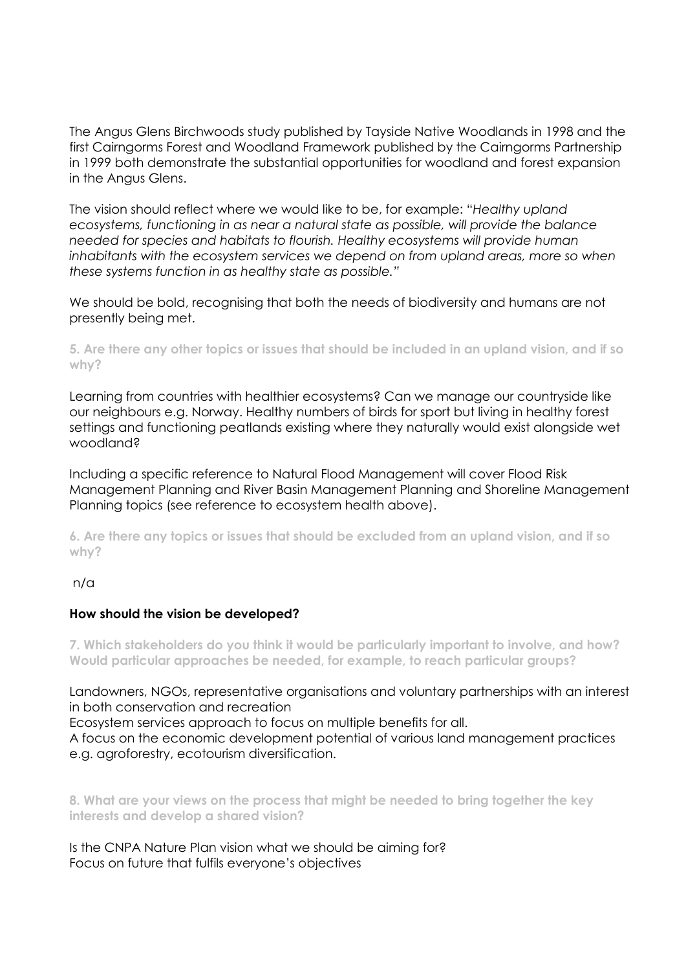The Angus Glens Birchwoods study published by Tayside Native Woodlands in 1998 and the first Cairngorms Forest and Woodland Framework published by the Cairngorms Partnership in 1999 both demonstrate the substantial opportunities for woodland and forest expansion in the Angus Glens.

The vision should reflect where we would like to be, for example: "*Healthy upland ecosystems, functioning in as near a natural state as possible, will provide the balance needed for species and habitats to flourish. Healthy ecosystems will provide human*  inhabitants with the ecosystem services we depend on from upland areas, more so when *these systems function in as healthy state as possible."*

We should be bold, recognising that both the needs of biodiversity and humans are not presently being met.

**5. Are there any other topics or issues that should be included in an upland vision, and if so why?** 

Learning from countries with healthier ecosystems? Can we manage our countryside like our neighbours e.g. Norway. Healthy numbers of birds for sport but living in healthy forest settings and functioning peatlands existing where they naturally would exist alongside wet woodland?

Including a specific reference to Natural Flood Management will cover Flood Risk Management Planning and River Basin Management Planning and Shoreline Management Planning topics (see reference to ecosystem health above).

**6. Are there any topics or issues that should be excluded from an upland vision, and if so why?** 

### n/a

### **How should the vision be developed?**

**7. Which stakeholders do you think it would be particularly important to involve, and how? Would particular approaches be needed, for example, to reach particular groups?** 

Landowners, NGOs, representative organisations and voluntary partnerships with an interest in both conservation and recreation

Ecosystem services approach to focus on multiple benefits for all.

A focus on the economic development potential of various land management practices e.g. agroforestry, ecotourism diversification.

**8. What are your views on the process that might be needed to bring together the key interests and develop a shared vision?** 

Is the CNPA Nature Plan vision what we should be aiming for? Focus on future that fulfils everyone's objectives